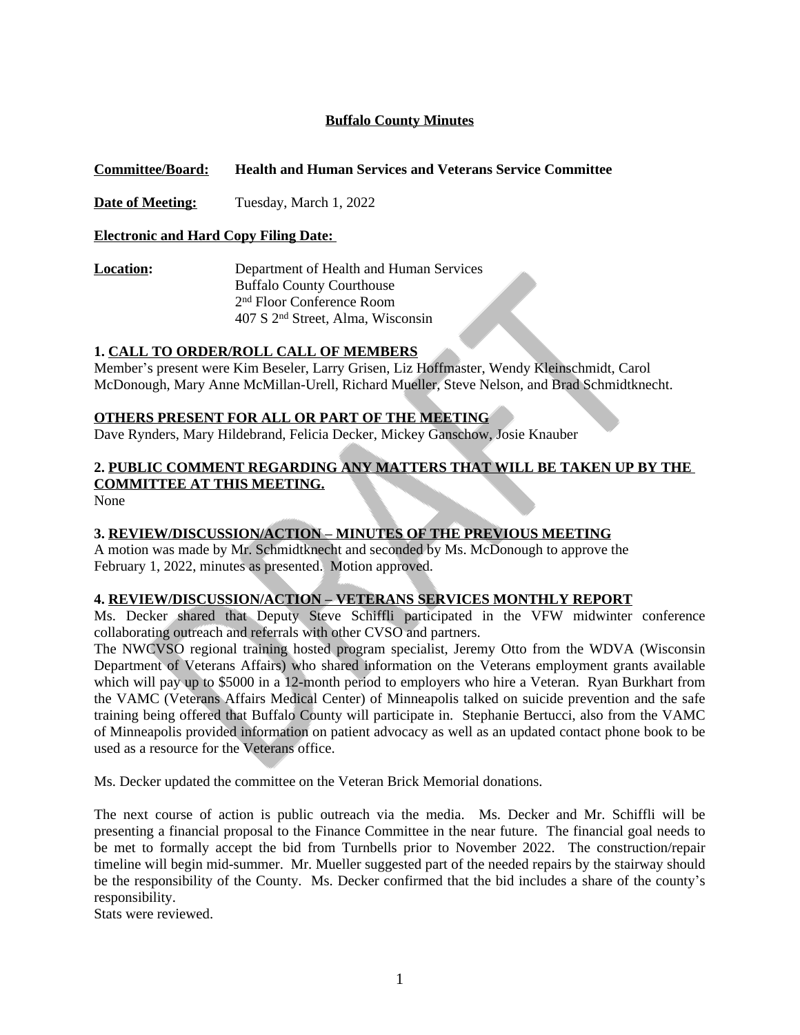## **Buffalo County Minutes**

**Committee/Board: Health and Human Services and Veterans Service Committee**

**Date of Meeting:** Tuesday, March 1, 2022

**Electronic and Hard Copy Filing Date:** 

**Location:** Department of Health and Human Services Buffalo County Courthouse 2 nd Floor Conference Room 407 S 2nd Street, Alma, Wisconsin

## **1. CALL TO ORDER/ROLL CALL OF MEMBERS**

Member's present were Kim Beseler, Larry Grisen, Liz Hoffmaster, Wendy Kleinschmidt, Carol McDonough, Mary Anne McMillan-Urell, Richard Mueller, Steve Nelson, and Brad Schmidtknecht.

#### **OTHERS PRESENT FOR ALL OR PART OF THE MEETING**

Dave Rynders, Mary Hildebrand, Felicia Decker, Mickey Ganschow, Josie Knauber

## **2. PUBLIC COMMENT REGARDING ANY MATTERS THAT WILL BE TAKEN UP BY THE COMMITTEE AT THIS MEETING.**

None

## **3. REVIEW/DISCUSSION/ACTION – MINUTES OF THE PREVIOUS MEETING**

A motion was made by Mr. Schmidtknecht and seconded by Ms. McDonough to approve the February 1, 2022, minutes as presented. Motion approved.

## **4. REVIEW/DISCUSSION/ACTION – VETERANS SERVICES MONTHLY REPORT**

Ms. Decker shared that Deputy Steve Schiffli participated in the VFW midwinter conference collaborating outreach and referrals with other CVSO and partners.

The NWCVSO regional training hosted program specialist, Jeremy Otto from the WDVA (Wisconsin Department of Veterans Affairs) who shared information on the Veterans employment grants available which will pay up to \$5000 in a 12-month period to employers who hire a Veteran. Ryan Burkhart from the VAMC (Veterans Affairs Medical Center) of Minneapolis talked on suicide prevention and the safe training being offered that Buffalo County will participate in. Stephanie Bertucci, also from the VAMC of Minneapolis provided information on patient advocacy as well as an updated contact phone book to be used as a resource for the Veterans office.

Ms. Decker updated the committee on the Veteran Brick Memorial donations.

The next course of action is public outreach via the media. Ms. Decker and Mr. Schiffli will be presenting a financial proposal to the Finance Committee in the near future. The financial goal needs to be met to formally accept the bid from Turnbells prior to November 2022. The construction/repair timeline will begin mid-summer. Mr. Mueller suggested part of the needed repairs by the stairway should be the responsibility of the County. Ms. Decker confirmed that the bid includes a share of the county's responsibility.

Stats were reviewed.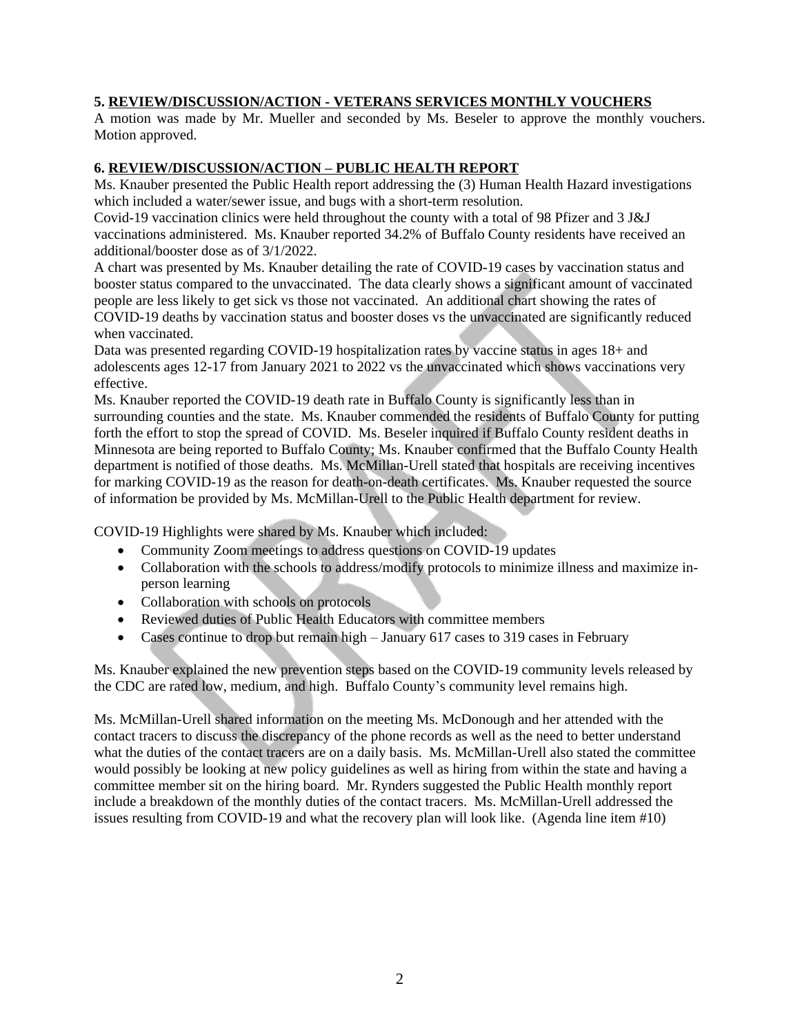## **5. REVIEW/DISCUSSION/ACTION - VETERANS SERVICES MONTHLY VOUCHERS**

A motion was made by Mr. Mueller and seconded by Ms. Beseler to approve the monthly vouchers. Motion approved.

#### **6. REVIEW/DISCUSSION/ACTION – PUBLIC HEALTH REPORT**

Ms. Knauber presented the Public Health report addressing the (3) Human Health Hazard investigations which included a water/sewer issue, and bugs with a short-term resolution.

Covid-19 vaccination clinics were held throughout the county with a total of 98 Pfizer and 3 J&J vaccinations administered. Ms. Knauber reported 34.2% of Buffalo County residents have received an additional/booster dose as of 3/1/2022.

A chart was presented by Ms. Knauber detailing the rate of COVID-19 cases by vaccination status and booster status compared to the unvaccinated. The data clearly shows a significant amount of vaccinated people are less likely to get sick vs those not vaccinated. An additional chart showing the rates of COVID-19 deaths by vaccination status and booster doses vs the unvaccinated are significantly reduced when vaccinated.

Data was presented regarding COVID-19 hospitalization rates by vaccine status in ages 18+ and adolescents ages 12-17 from January 2021 to 2022 vs the unvaccinated which shows vaccinations very effective.

Ms. Knauber reported the COVID-19 death rate in Buffalo County is significantly less than in surrounding counties and the state. Ms. Knauber commended the residents of Buffalo County for putting forth the effort to stop the spread of COVID. Ms. Beseler inquired if Buffalo County resident deaths in Minnesota are being reported to Buffalo County; Ms. Knauber confirmed that the Buffalo County Health department is notified of those deaths. Ms. McMillan-Urell stated that hospitals are receiving incentives for marking COVID-19 as the reason for death-on-death certificates. Ms. Knauber requested the source of information be provided by Ms. McMillan-Urell to the Public Health department for review.

COVID-19 Highlights were shared by Ms. Knauber which included:

- Community Zoom meetings to address questions on COVID-19 updates
- Collaboration with the schools to address/modify protocols to minimize illness and maximize inperson learning
- Collaboration with schools on protocols
- Reviewed duties of Public Health Educators with committee members
- Cases continue to drop but remain high January 617 cases to 319 cases in February

Ms. Knauber explained the new prevention steps based on the COVID-19 community levels released by the CDC are rated low, medium, and high. Buffalo County's community level remains high.

Ms. McMillan-Urell shared information on the meeting Ms. McDonough and her attended with the contact tracers to discuss the discrepancy of the phone records as well as the need to better understand what the duties of the contact tracers are on a daily basis. Ms. McMillan-Urell also stated the committee would possibly be looking at new policy guidelines as well as hiring from within the state and having a committee member sit on the hiring board. Mr. Rynders suggested the Public Health monthly report include a breakdown of the monthly duties of the contact tracers. Ms. McMillan-Urell addressed the issues resulting from COVID-19 and what the recovery plan will look like. (Agenda line item #10)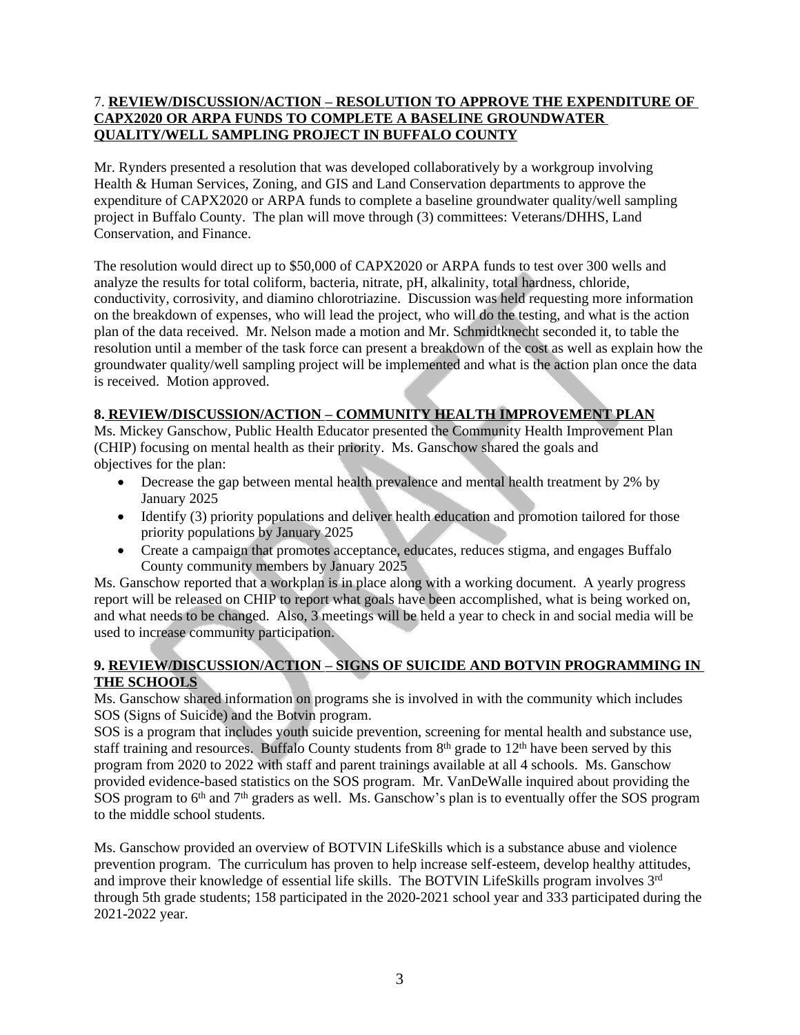## 7. **REVIEW/DISCUSSION/ACTION – RESOLUTION TO APPROVE THE EXPENDITURE OF CAPX2020 OR ARPA FUNDS TO COMPLETE A BASELINE GROUNDWATER QUALITY/WELL SAMPLING PROJECT IN BUFFALO COUNTY**

Mr. Rynders presented a resolution that was developed collaboratively by a workgroup involving Health & Human Services, Zoning, and GIS and Land Conservation departments to approve the expenditure of CAPX2020 or ARPA funds to complete a baseline groundwater quality/well sampling project in Buffalo County. The plan will move through (3) committees: Veterans/DHHS, Land Conservation, and Finance.

The resolution would direct up to \$50,000 of CAPX2020 or ARPA funds to test over 300 wells and analyze the results for total coliform, bacteria, nitrate, pH, alkalinity, total hardness, chloride, conductivity, corrosivity, and diamino chlorotriazine. Discussion was held requesting more information on the breakdown of expenses, who will lead the project, who will do the testing, and what is the action plan of the data received. Mr. Nelson made a motion and Mr. Schmidtknecht seconded it, to table the resolution until a member of the task force can present a breakdown of the cost as well as explain how the groundwater quality/well sampling project will be implemented and what is the action plan once the data is received. Motion approved.

## **8. REVIEW/DISCUSSION/ACTION – COMMUNITY HEALTH IMPROVEMENT PLAN**

Ms. Mickey Ganschow, Public Health Educator presented the Community Health Improvement Plan (CHIP) focusing on mental health as their priority. Ms. Ganschow shared the goals and objectives for the plan:

- Decrease the gap between mental health prevalence and mental health treatment by 2% by January 2025
- Identify (3) priority populations and deliver health education and promotion tailored for those priority populations by January 2025
- Create a campaign that promotes acceptance, educates, reduces stigma, and engages Buffalo County community members by January 2025

Ms. Ganschow reported that a workplan is in place along with a working document. A yearly progress report will be released on CHIP to report what goals have been accomplished, what is being worked on, and what needs to be changed. Also, 3 meetings will be held a year to check in and social media will be used to increase community participation.

## **9. REVIEW/DISCUSSION/ACTION – SIGNS OF SUICIDE AND BOTVIN PROGRAMMING IN THE SCHOOLS**

Ms. Ganschow shared information on programs she is involved in with the community which includes SOS (Signs of Suicide) and the Botvin program.

SOS is a program that includes youth suicide prevention, screening for mental health and substance use, staff training and resources. Buffalo County students from 8<sup>th</sup> grade to 12<sup>th</sup> have been served by this program from 2020 to 2022 with staff and parent trainings available at all 4 schools. Ms. Ganschow provided evidence-based statistics on the SOS program. Mr. VanDeWalle inquired about providing the SOS program to 6<sup>th</sup> and 7<sup>th</sup> graders as well. Ms. Ganschow's plan is to eventually offer the SOS program to the middle school students.

Ms. Ganschow provided an overview of BOTVIN LifeSkills which is a substance abuse and violence prevention program. The curriculum has proven to help increase self-esteem, develop healthy attitudes, and improve their knowledge of essential life skills. The BOTVIN LifeSkills program involves 3rd through 5th grade students; 158 participated in the 2020-2021 school year and 333 participated during the 2021-2022 year.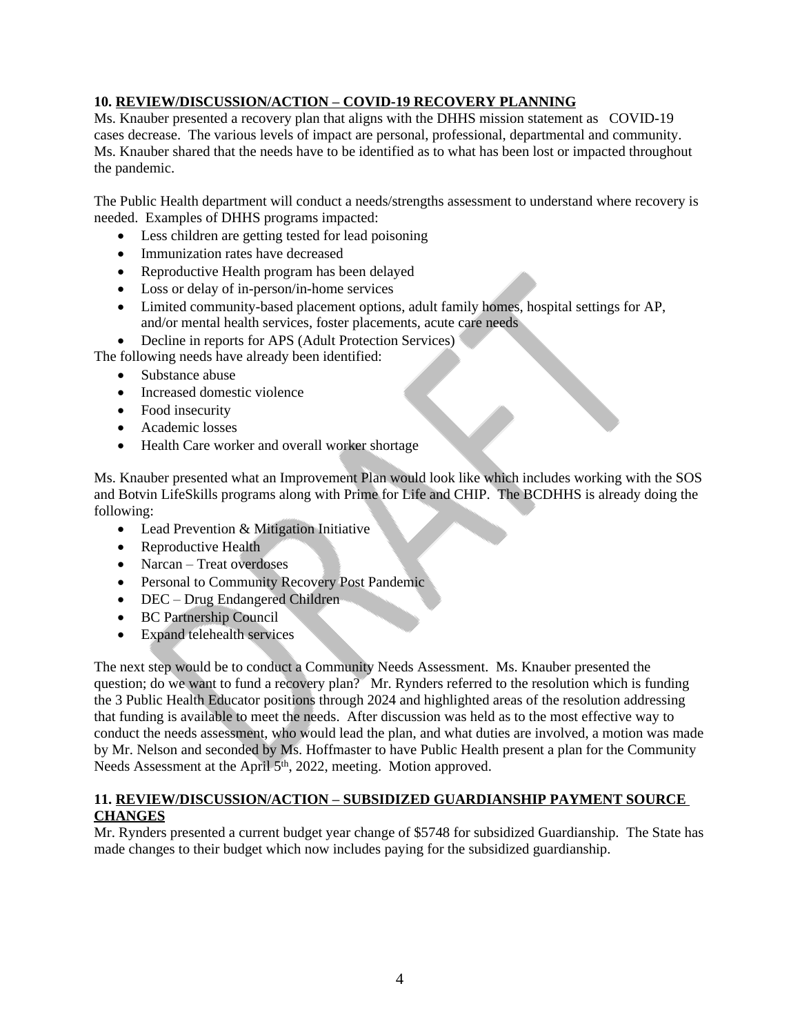## **10. REVIEW/DISCUSSION/ACTION – COVID-19 RECOVERY PLANNING**

Ms. Knauber presented a recovery plan that aligns with the DHHS mission statement as COVID-19 cases decrease. The various levels of impact are personal, professional, departmental and community. Ms. Knauber shared that the needs have to be identified as to what has been lost or impacted throughout the pandemic.

The Public Health department will conduct a needs/strengths assessment to understand where recovery is needed. Examples of DHHS programs impacted:

- Less children are getting tested for lead poisoning
- Immunization rates have decreased
- Reproductive Health program has been delayed
- Loss or delay of in-person/in-home services
- Limited community-based placement options, adult family homes, hospital settings for AP, and/or mental health services, foster placements, acute care needs
- Decline in reports for APS (Adult Protection Services)

The following needs have already been identified:

- Substance abuse
- Increased domestic violence
- Food insecurity
- Academic losses
- Health Care worker and overall worker shortage

Ms. Knauber presented what an Improvement Plan would look like which includes working with the SOS and Botvin LifeSkills programs along with Prime for Life and CHIP. The BCDHHS is already doing the following:

- Lead Prevention & Mitigation Initiative
- Reproductive Health
- Narcan Treat overdoses
- **•** Personal to Community Recovery Post Pandemic
- DEC Drug Endangered Children
- BC Partnership Council
- Expand telehealth services

The next step would be to conduct a Community Needs Assessment. Ms. Knauber presented the question; do we want to fund a recovery plan? Mr. Rynders referred to the resolution which is funding the 3 Public Health Educator positions through 2024 and highlighted areas of the resolution addressing that funding is available to meet the needs. After discussion was held as to the most effective way to conduct the needs assessment, who would lead the plan, and what duties are involved, a motion was made by Mr. Nelson and seconded by Ms. Hoffmaster to have Public Health present a plan for the Community Needs Assessment at the April 5<sup>th</sup>, 2022, meeting. Motion approved.

#### **11. REVIEW/DISCUSSION/ACTION – SUBSIDIZED GUARDIANSHIP PAYMENT SOURCE CHANGES**

Mr. Rynders presented a current budget year change of \$5748 for subsidized Guardianship. The State has made changes to their budget which now includes paying for the subsidized guardianship.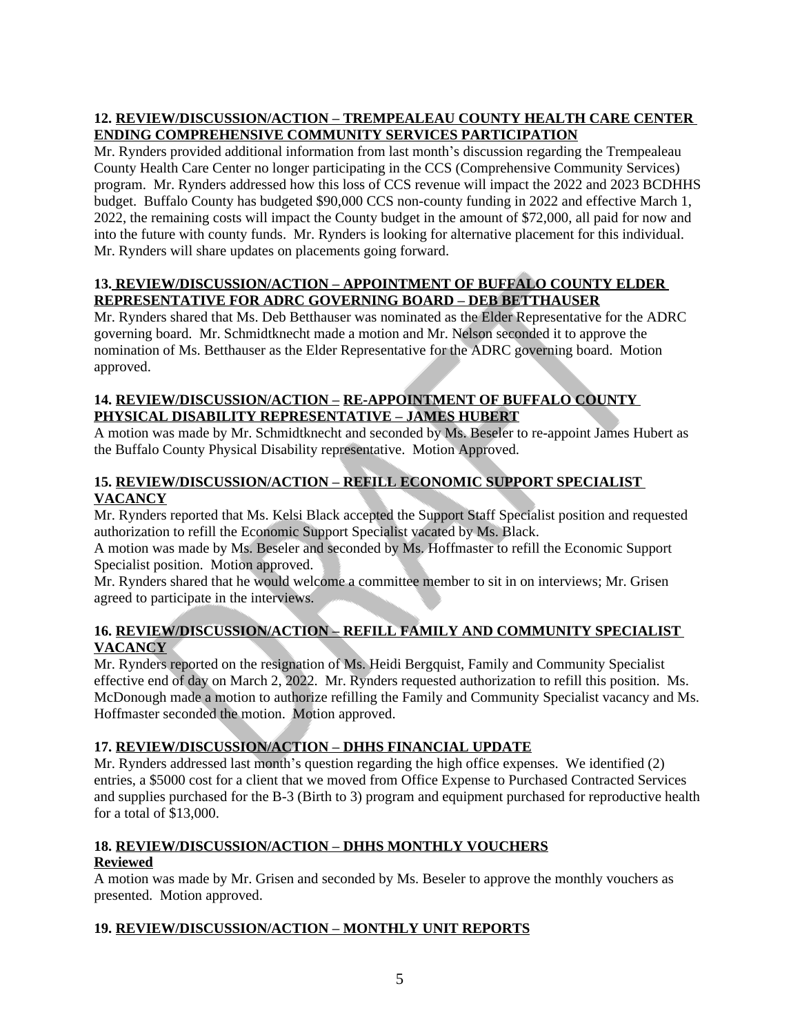## **12. REVIEW/DISCUSSION/ACTION – TREMPEALEAU COUNTY HEALTH CARE CENTER ENDING COMPREHENSIVE COMMUNITY SERVICES PARTICIPATION**

Mr. Rynders provided additional information from last month's discussion regarding the Trempealeau County Health Care Center no longer participating in the CCS (Comprehensive Community Services) program. Mr. Rynders addressed how this loss of CCS revenue will impact the 2022 and 2023 BCDHHS budget. Buffalo County has budgeted \$90,000 CCS non-county funding in 2022 and effective March 1, 2022, the remaining costs will impact the County budget in the amount of \$72,000, all paid for now and into the future with county funds. Mr. Rynders is looking for alternative placement for this individual. Mr. Rynders will share updates on placements going forward.

#### **13. REVIEW/DISCUSSION/ACTION – APPOINTMENT OF BUFFALO COUNTY ELDER REPRESENTATIVE FOR ADRC GOVERNING BOARD – DEB BETTHAUSER**

Mr. Rynders shared that Ms. Deb Betthauser was nominated as the Elder Representative for the ADRC governing board. Mr. Schmidtknecht made a motion and Mr. Nelson seconded it to approve the nomination of Ms. Betthauser as the Elder Representative for the ADRC governing board. Motion approved.

### 14. REVIEW/DISCUSSION/ACTION - RE-APPOINTMENT OF BUFFALO COUNTY **PHYSICAL DISABILITY REPRESENTATIVE – JAMES HUBERT**

A motion was made by Mr. Schmidtknecht and seconded by Ms. Beseler to re-appoint James Hubert as the Buffalo County Physical Disability representative. Motion Approved.

## **15. REVIEW/DISCUSSION/ACTION – REFILL ECONOMIC SUPPORT SPECIALIST VACANCY**

Mr. Rynders reported that Ms. Kelsi Black accepted the Support Staff Specialist position and requested authorization to refill the Economic Support Specialist vacated by Ms. Black.

A motion was made by Ms. Beseler and seconded by Ms. Hoffmaster to refill the Economic Support Specialist position. Motion approved.

Mr. Rynders shared that he would welcome a committee member to sit in on interviews; Mr. Grisen agreed to participate in the interviews.

## **16. REVIEW/DISCUSSION/ACTION – REFILL FAMILY AND COMMUNITY SPECIALIST VACANCY**

Mr. Rynders reported on the resignation of Ms. Heidi Bergquist, Family and Community Specialist effective end of day on March 2, 2022. Mr. Rynders requested authorization to refill this position. Ms. McDonough made a motion to authorize refilling the Family and Community Specialist vacancy and Ms. Hoffmaster seconded the motion. Motion approved.

## **17. REVIEW/DISCUSSION/ACTION – DHHS FINANCIAL UPDATE**

Mr. Rynders addressed last month's question regarding the high office expenses. We identified (2) entries, a \$5000 cost for a client that we moved from Office Expense to Purchased Contracted Services and supplies purchased for the B-3 (Birth to 3) program and equipment purchased for reproductive health for a total of \$13,000.

#### **18. REVIEW/DISCUSSION/ACTION – DHHS MONTHLY VOUCHERS Reviewed**

A motion was made by Mr. Grisen and seconded by Ms. Beseler to approve the monthly vouchers as presented. Motion approved.

# **19. REVIEW/DISCUSSION/ACTION – MONTHLY UNIT REPORTS**